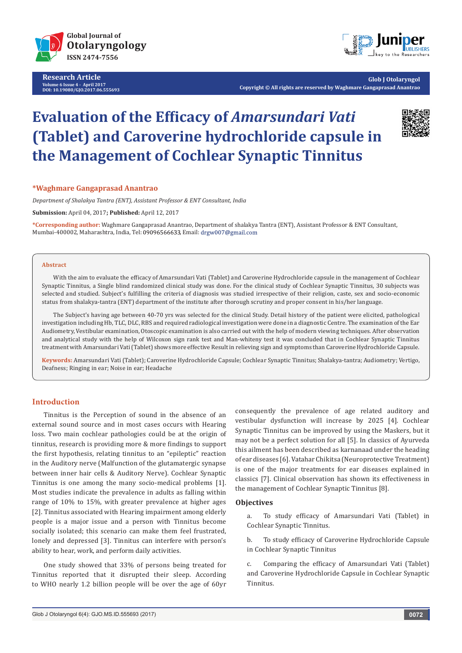

**Research Article Volume 6 Issue 4 - April 2017 DOI: [10.19080/GJO.2017.06.555693](http://dx.doi.org/10.19080/GJO.2017.06.555693)**



**Glob J Otolaryngol Copyright © All rights are reserved by Waghmare Gangaprasad Anantrao**

# **Evaluation of the Efficacy of** *Amarsundari Vati* **(Tablet) and Caroverine hydrochloride capsule in the Management of Cochlear Synaptic Tinnitus**



# **\*Waghmare Gangaprasad Anantrao**

*Department of Shalakya Tantra (ENT), Assistant Professor & ENT Consultant, India*

**Submission:** April 04, 2017**; Published:** April 12, 2017

**\*Corresponding author:** Waghmare Gangaprasad Anantrao, Department of shalakya Tantra (ENT), Assistant Professor & ENT Consultant, Mumbai-400002, Maharashtra, India, Tel: 09096566633, Email: drgw007@gmail.com

#### **Abstract**

With the aim to evaluate the efficacy of Amarsundari Vati (Tablet) and Caroverine Hydrochloride capsule in the management of Cochlear Synaptic Tinnitus, a Single blind randomized clinical study was done. For the clinical study of Cochlear Synaptic Tinnitus, 30 subjects was selected and studied. Subject's fulfilling the criteria of diagnosis was studied irrespective of their religion, caste, sex and socio-economic status from shalakya-tantra (ENT) department of the institute after thorough scrutiny and proper consent in his/her language.

The Subject's having age between 40-70 yrs was selected for the clinical Study. Detail history of the patient were elicited, pathological investigation including Hb, TLC, DLC, RBS and required radiological investigation were done in a diagnostic Centre. The examination of the Ear Audiometry, Vestibular examination, Otoscopic examination is also carried out with the help of modern viewing techniques. After observation and analytical study with the help of Wilcoxon sign rank test and Man-whiteny test it was concluded that in Cochlear Synaptic Tinnitus treatment with Amarsundari Vati (Tablet) shows more effective Result in relieving sign and symptoms than Caroverine Hydrochloride Capsule.

**Keywords:** Amarsundari Vati (Tablet); Caroverine Hydrochloride Capsule; Cochlear Synaptic Tinnitus; Shalakya-tantra; Audiometry; Vertigo, Deafness; Ringing in ear; Noise in ear; Headache

# **Introduction**

Tinnitus is the Perception of sound in the absence of an external sound source and in most cases occurs with Hearing loss. Two main cochlear pathologies could be at the origin of tinnitus, research is providing more & more findings to support the first hypothesis, relating tinnitus to an "epileptic" reaction in the Auditory nerve (Malfunction of the glutamatergic synapse between inner hair cells & Auditory Nerve). Cochlear Synaptic Tinnitus is one among the many socio-medical problems [1]. Most studies indicate the prevalence in adults as falling within range of 10% to 15%, with greater prevalence at higher ages [2]. Tinnitus associated with Hearing impairment among elderly people is a major issue and a person with Tinnitus become socially isolated; this scenario can make them feel frustrated, lonely and depressed [3]. Tinnitus can interfere with person's ability to hear, work, and perform daily activities.

One study showed that 33% of persons being treated for Tinnitus reported that it disrupted their sleep. According to WHO nearly 1.2 billion people will be over the age of 60yr consequently the prevalence of age related auditory and vestibular dysfunction will increase by 2025 [4]. Cochlear Synaptic Tinnitus can be improved by using the Maskers, but it may not be a perfect solution for all [5]. In classics of Ayurveda this ailment has been described as karnanaad under the heading of ear diseases [6]. Vatahar Chikitsa (Neuroprotective Treatment) is one of the major treatments for ear diseases explained in classics [7]. Clinical observation has shown its effectiveness in the management of Cochlear Synaptic Tinnitus [8].

## **Objectives**

a. To study efficacy of Amarsundari Vati (Tablet) in Cochlear Synaptic Tinnitus.

b. To study efficacy of Caroverine Hydrochloride Capsule in Cochlear Synaptic Tinnitus

c. Comparing the efficacy of Amarsundari Vati (Tablet) and Caroverine Hydrochloride Capsule in Cochlear Synaptic Tinnitus.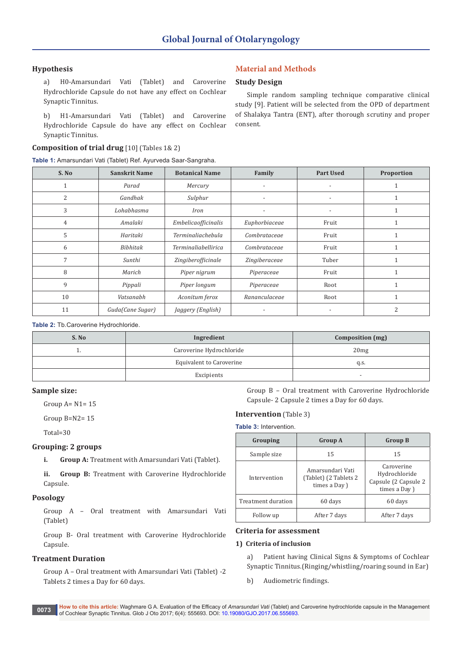# **Hypothesis**

a) H0-Amarsundari Vati (Tablet) and Caroverine Hydrochloride Capsule do not have any effect on Cochlear Synaptic Tinnitus.

b) H1-Amarsundari Vati (Tablet) and Caroverine Hydrochloride Capsule do have any effect on Cochlear Synaptic Tinnitus.

# **Composition of trial drug** [10] (Tables 1& 2)

**Table 1:** Amarsundari Vati (Tablet) Ref. Ayurveda Saar-Sangraha.

# **Material and Methods**

# **Study Design**

Simple random sampling technique comparative clinical study [9]. Patient will be selected from the OPD of department of Shalakya Tantra (ENT), after thorough scrutiny and proper consent.

| S. No | <b>Sanskrit Name</b> | <b>Botanical Name</b> | Family                   | <b>Part Used</b>         | Proportion     |
|-------|----------------------|-----------------------|--------------------------|--------------------------|----------------|
| 1     | Parad                | Mercury               |                          | ٠                        |                |
| 2     | Gandhak              | Sulphur               |                          | $\overline{\phantom{a}}$ |                |
| 3     | Lohabhasma           | Iron                  | $\overline{\phantom{a}}$ | $\overline{\phantom{a}}$ |                |
| 4     | Amalaki              | Embelicaofficinalis   | Euphorbiaceae            | Fruit                    |                |
| 5     | Haritaki             | Terminaliachebula     | Combrataceae             | Fruit                    |                |
| 6     | Bibhitak             | Terminaliabellirica   | Combrataceae             | Fruit                    |                |
| 7     | Sunthi               | Zingiberofficinale    | Zingiberaceae            | Tuber                    |                |
| 8     | Marich               | Piper nigrum          | Piperaceae               | Fruit                    |                |
| 9     | Pippali              | Piper longum          | Piperaceae               | Root                     |                |
| 10    | Vatsanabh            | Aconitum ferox        | Rananculaceae            | Root                     |                |
| 11    | Guda(Cane Sugar)     | Jaggery (English)     |                          |                          | $\overline{2}$ |

#### **Table 2:** Tb.Caroverine Hydrochloride.

| S. No | Ingredient                      | Composition (mg) |
|-------|---------------------------------|------------------|
|       | Caroverine Hydrochloride        | 20mg             |
|       | <b>Equivalent to Caroverine</b> | q.s.             |
|       | Excipients                      |                  |

## **Sample size:**

Group  $A = N1 = 15$ 

Group B=N2= 15

Total=30

## **Grouping: 2 groups**

**i. Group A:** Treatment with Amarsundari Vati (Tablet).

**ii. Group B:** Treatment with Caroverine Hydrochloride Capsule.

## **Posology**

Group A – Oral treatment with Amarsundari Vati (Tablet)

Group B- Oral treatment with Caroverine Hydrochloride Capsule.

## **Treatment Duration**

Group A – Oral treatment with Amarsundari Vati (Tablet) -2 Tablets 2 times a Day for 60 days.

Group B – Oral treatment with Caroverine Hydrochloride Capsule- 2 Capsule 2 times a Day for 60 days.

# **Intervention** (Table 3)

#### **Table 3:** Intervention.

| Grouping           | Group A                                                     | <b>Group B</b>                                                       |  |
|--------------------|-------------------------------------------------------------|----------------------------------------------------------------------|--|
| Sample size        | 15                                                          | 15                                                                   |  |
| Intervention       | Amarsundari Vati<br>(Tablet) (2 Tablets 2)<br>times a Day 1 | Caroverine<br>Hydrochloride<br>Capsule (2 Capsule 2<br>times a Day 1 |  |
| Treatment duration | 60 days                                                     | 60 days                                                              |  |
| Follow up          | After 7 days                                                | After 7 days                                                         |  |

#### **Criteria for assessment**

#### **1) Criteria of inclusion**

a) Patient having Clinical Signs & Symptoms of Cochlear Synaptic Tinnitus.(Ringing/whistling/roaring sound in Ear)

b) Audiometric findings.

**How to cite this article:** Waghmare G A. Evaluation of the Efficacy of *Amarsundari Vati* (Tablet) and Caroverine hydrochloride capsule in the Management of Cochlear Synaptic Tinnitus. Glob J Oto 2017; 6(4): 555693. DOI: [10.19080/GJO.2017.06.555693.](http://dx.doi.org/10.19080/GJO.2017.06.555693) **<sup>0073</sup>**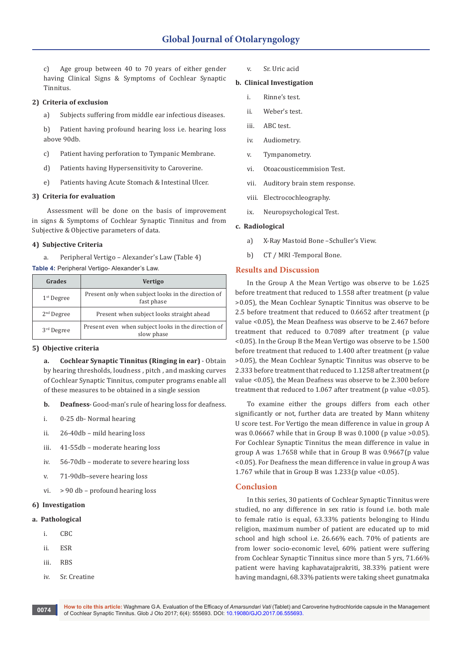c) Age group between 40 to 70 years of either gender having Clinical Signs & Symptoms of Cochlear Synaptic Tinnitus.

## **2) Criteria of exclusion**

a) Subjects suffering from middle ear infectious diseases.

b) Patient having profound hearing loss i.e. hearing loss above 90db.

- c) Patient having perforation to Tympanic Membrane.
- d) Patients having Hypersensitivity to Caroverine.
- e) Patients having Acute Stomach & Intestinal Ulcer.

## **3) Criteria for evaluation**

 Assessment will be done on the basis of improvement in signs & Symptoms of Cochlear Synaptic Tinnitus and from Subjective & Objective parameters of data.

#### **4) Subjective Criteria**

a. Peripheral Vertigo – Alexander's Law (Table 4)

**Table 4:** Peripheral Vertigo- Alexander's Law.

| Grades       | <b>Vertigo</b>                                                    |
|--------------|-------------------------------------------------------------------|
| $1st$ Degree | Present only when subject looks in the direction of<br>fast phase |
| $2nd$ Degree | Present when subject looks straight ahead                         |
| $3rd$ Degree | Present even when subject looks in the direction of<br>slow phase |

#### **5) Objective criteria**

**a. Cochlear Synaptic Tinnitus (Ringing in ear)** - Obtain by hearing thresholds, loudness , pitch , and masking curves of Cochlear Synaptic Tinnitus, computer programs enable all of these measures to be obtained in a single session

- **b. Deafness** Good-man's rule of hearing loss for deafness.
- i. 0-25 db- Normal hearing
- ii. 26-40db mild hearing loss
- iii. 41-55db moderate hearing loss
- iv. 56-70db moderate to severe hearing loss
- v. 71-90db–severe hearing loss
- vi. > 90 db profound hearing loss

# **6) Investigation**

- **a. Pathological**
	- i. CBC
	- ii. ESR
	- iii. RBS
	- iv. Sr. Creatine

v. Sr. Uric acid

# **b. Clinical Investigation**

- i. Rinne's test.
- ii. Weber's test.
- iii. ABC test.
- iv. Audiometry.
- v. Tympanometry.
- vi. Otoacousticemmision Test.
- vii. Auditory brain stem response.
- viii. Electrocochleography.
- ix. Neuropsychological Test.

## **c. Radiological**

- a) X-Ray Mastoid Bone –Schuller's View.
- b) CT / MRI -Temporal Bone.

# **Results and Discussion**

In the Group A the Mean Vertigo was observe to be 1.625 before treatment that reduced to 1.558 after treatment (p value >0.05), the Mean Cochlear Synaptic Tinnitus was observe to be 2.5 before treatment that reduced to 0.6652 after treatment (p value <0.05), the Mean Deafness was observe to be 2.467 before treatment that reduced to 0.7089 after treatment (p value <0.05). In the Group B the Mean Vertigo was observe to be 1.500 before treatment that reduced to 1.400 after treatment (p value >0.05), the Mean Cochlear Synaptic Tinnitus was observe to be 2.333 before treatment that reduced to 1.1258 after treatment (p value <0.05), the Mean Deafness was observe to be 2.300 before treatment that reduced to 1.067 after treatment (p value <0.05).

To examine either the groups differs from each other significantly or not, further data are treated by Mann whiteny U score test. For Vertigo the mean difference in value in group A was  $0.06667$  while that in Group B was  $0.1000$  (p value  $>0.05$ ). For Cochlear Synaptic Tinnitus the mean difference in value in group A was 1.7658 while that in Group B was 0.9667(p value <0.05). For Deafness the mean difference in value in group A was 1.767 while that in Group B was  $1.233$  (p value <0.05).

# **Conclusion**

In this series, 30 patients of Cochlear Synaptic Tinnitus were studied, no any difference in sex ratio is found i.e. both male to female ratio is equal, 63.33% patients belonging to Hindu religion, maximum number of patient are educated up to mid school and high school i.e. 26.66% each. 70% of patients are from lower socio-economic level, 60% patient were suffering from Cochlear Synaptic Tinnitus since more than 5 yrs, 71.66% patient were having kaphavatajprakriti, 38.33% patient were having mandagni, 68.33% patients were taking sheet gunatmaka